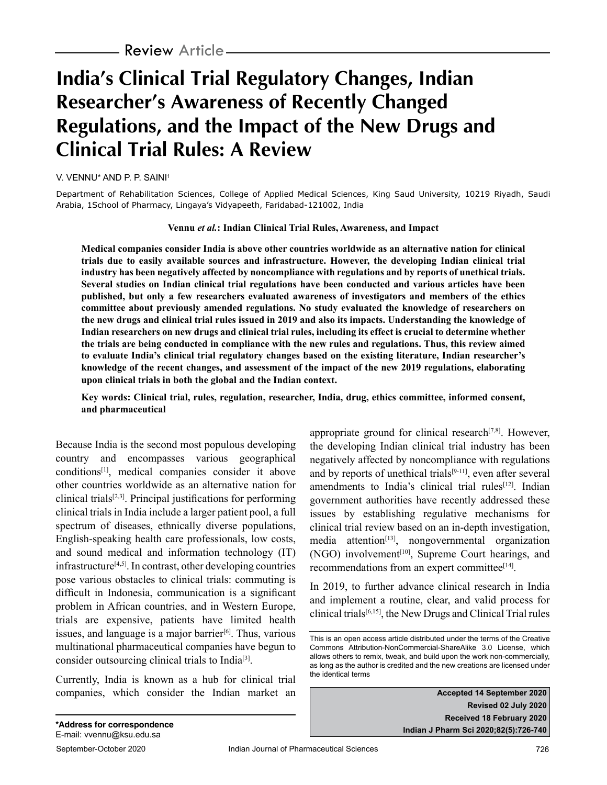# **India's Clinical Trial Regulatory Changes, Indian Researcher's Awareness of Recently Changed Regulations, and the Impact of the New Drugs and Clinical Trial Rules: A Review**

V. VENNU\* AND P. P. SAINI1

Department of Rehabilitation Sciences, College of Applied Medical Sciences, King Saud University, 10219 Riyadh, Saudi Arabia, 1School of Pharmacy, Lingaya's Vidyapeeth, Faridabad-121002, India

#### **Vennu** *et al.***: Indian Clinical Trial Rules, Awareness, and Impact**

**Medical companies consider India is above other countries worldwide as an alternative nation for clinical trials due to easily available sources and infrastructure. However, the developing Indian clinical trial industry has been negatively affected by noncompliance with regulations and by reports of unethical trials. Several studies on Indian clinical trial regulations have been conducted and various articles have been published, but only a few researchers evaluated awareness of investigators and members of the ethics committee about previously amended regulations. No study evaluated the knowledge of researchers on the new drugs and clinical trial rules issued in 2019 and also its impacts. Understanding the knowledge of Indian researchers on new drugs and clinical trial rules, including its effect is crucial to determine whether the trials are being conducted in compliance with the new rules and regulations. Thus, this review aimed to evaluate India's clinical trial regulatory changes based on the existing literature, Indian researcher's knowledge of the recent changes, and assessment of the impact of the new 2019 regulations, elaborating upon clinical trials in both the global and the Indian context.**

#### **Key words: Clinical trial, rules, regulation, researcher, India, drug, ethics committee, informed consent, and pharmaceutical**

Because India is the second most populous developing country and encompasses various geographical conditions[1], medical companies consider it above other countries worldwide as an alternative nation for clinical trials[2,3]. Principal justifications for performing clinical trials in India include a larger patient pool, a full spectrum of diseases, ethnically diverse populations, English-speaking health care professionals, low costs, and sound medical and information technology (IT) infrastructure[4,5]. In contrast, other developing countries pose various obstacles to clinical trials: commuting is difficult in Indonesia, communication is a significant problem in African countries, and in Western Europe, trials are expensive, patients have limited health issues, and language is a major barrier $[6]$ . Thus, various multinational pharmaceutical companies have begun to consider outsourcing clinical trials to India[3].

Currently, India is known as a hub for clinical trial companies, which consider the Indian market an appropriate ground for clinical research $[7,8]$ . However, the developing Indian clinical trial industry has been negatively affected by noncompliance with regulations and by reports of unethical trials $[9-11]$ , even after several amendments to India's clinical trial rules<sup>[12]</sup>. Indian government authorities have recently addressed these issues by establishing regulative mechanisms for clinical trial review based on an in-depth investigation,  $median<sup>[13]</sup>$ , nongovernmental organization (NGO) involvement<sup>[10]</sup>, Supreme Court hearings, and recommendations from an expert committee<sup>[14]</sup>.

In 2019, to further advance clinical research in India and implement a routine, clear, and valid process for clinical trials[6,15], the New Drugs and Clinical Trial rules

**Accepted 14 September 2020 Revised 02 July 2020 Received 18 February 2020 Indian J Pharm Sci 2020;82(5):726-740**

This is an open access article distributed under the terms of the Creative Commons Attribution-NonCommercial-ShareAlike 3.0 License, which allows others to remix, tweak, and build upon the work non-commercially, as long as the author is credited and the new creations are licensed under the identical terms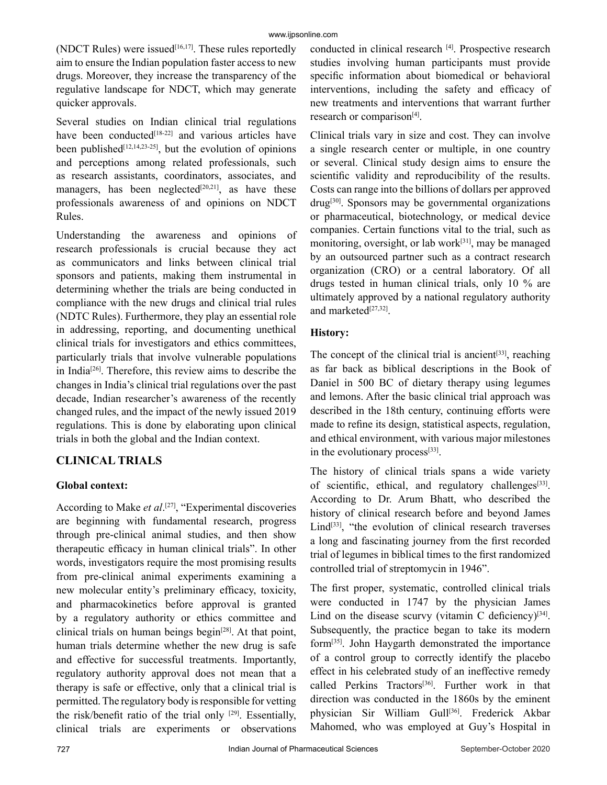(NDCT Rules) were issued $[16,17]$ . These rules reportedly aim to ensure the Indian population faster access to new drugs. Moreover, they increase the transparency of the regulative landscape for NDCT, which may generate quicker approvals.

Several studies on Indian clinical trial regulations have been conducted $[18-22]$  and various articles have been published<sup>[12,14,23-25]</sup>, but the evolution of opinions and perceptions among related professionals, such as research assistants, coordinators, associates, and managers, has been neglected $[20,21]$ , as have these professionals awareness of and opinions on NDCT Rules.

Understanding the awareness and opinions of research professionals is crucial because they act as communicators and links between clinical trial sponsors and patients, making them instrumental in determining whether the trials are being conducted in compliance with the new drugs and clinical trial rules (NDTC Rules). Furthermore, they play an essential role in addressing, reporting, and documenting unethical clinical trials for investigators and ethics committees, particularly trials that involve vulnerable populations in India[26]. Therefore, this review aims to describe the changes in India's clinical trial regulations over the past decade, Indian researcher's awareness of the recently changed rules, and the impact of the newly issued 2019 regulations. This is done by elaborating upon clinical trials in both the global and the Indian context.

## **CLINICAL TRIALS**

#### **Global context:**

According to Make *et al*.<sup>[27]</sup>, "Experimental discoveries are beginning with fundamental research, progress through pre-clinical animal studies, and then show therapeutic efficacy in human clinical trials". In other words, investigators require the most promising results from pre-clinical animal experiments examining a new molecular entity's preliminary efficacy, toxicity, and pharmacokinetics before approval is granted by a regulatory authority or ethics committee and clinical trials on human beings begin<sup>[28]</sup>. At that point, human trials determine whether the new drug is safe and effective for successful treatments. Importantly, regulatory authority approval does not mean that a therapy is safe or effective, only that a clinical trial is permitted. The regulatory body is responsible for vetting the risk/benefit ratio of the trial only  $[29]$ . Essentially, clinical trials are experiments or observations

conducted in clinical research [4]. Prospective research studies involving human participants must provide specific information about biomedical or behavioral interventions, including the safety and efficacy of new treatments and interventions that warrant further research or comparison<sup>[4]</sup>.

Clinical trials vary in size and cost. They can involve a single research center or multiple, in one country or several. Clinical study design aims to ensure the scientific validity and reproducibility of the results. Costs can range into the billions of dollars per approved  $d\text{rug}^{[30]}$ . Sponsors may be governmental organizations or pharmaceutical, biotechnology, or medical device companies. Certain functions vital to the trial, such as monitoring, oversight, or lab work[31], may be managed by an outsourced partner such as a contract research organization (CRO) or a central laboratory. Of all drugs tested in human clinical trials, only 10 % are ultimately approved by a national regulatory authority and marketed<sup>[27,32]</sup>.

## **History:**

The concept of the clinical trial is ancient<sup>[33]</sup>, reaching as far back as biblical descriptions in the Book of Daniel in 500 BC of dietary therapy using legumes and lemons. After the basic clinical trial approach was described in the 18th century, continuing efforts were made to refine its design, statistical aspects, regulation, and ethical environment, with various major milestones in the evolutionary process<sup>[33]</sup>.

The history of clinical trials spans a wide variety of scientific, ethical, and regulatory challenges<sup>[33]</sup>. According to Dr. Arum Bhatt, who described the history of clinical research before and beyond James Lind<sup>[33]</sup>, "the evolution of clinical research traverses a long and fascinating journey from the first recorded trial of legumes in biblical times to the first randomized controlled trial of streptomycin in 1946".

The first proper, systematic, controlled clinical trials were conducted in 1747 by the physician James Lind on the disease scurvy (vitamin C deficiency) $[34]$ . Subsequently, the practice began to take its modern form[35]. John Haygarth demonstrated the importance of a control group to correctly identify the placebo effect in his celebrated study of an ineffective remedy called Perkins Tractors<sup>[36]</sup>. Further work in that direction was conducted in the 1860s by the eminent physician Sir William Gull<sup>[36]</sup>. Frederick Akbar Mahomed, who was employed at Guy's Hospital in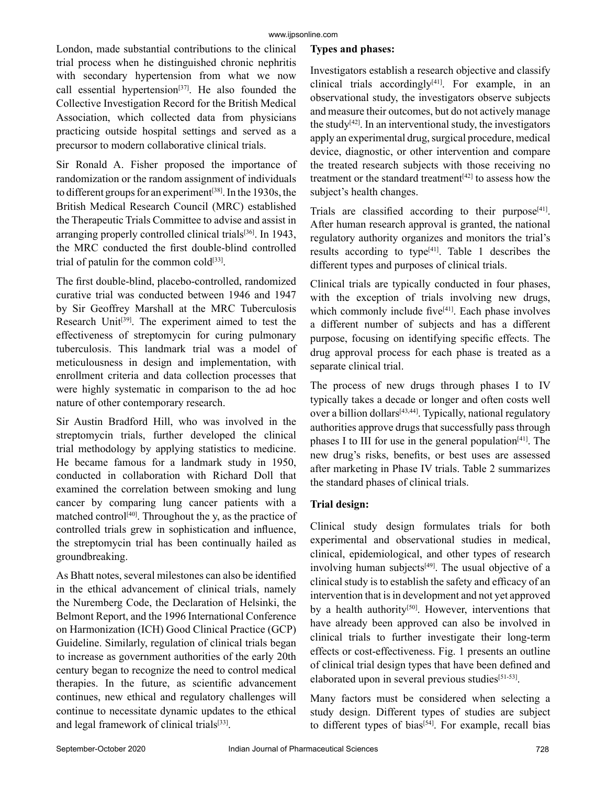#### www.ijpsonline.com

London, made substantial contributions to the clinical trial process when he distinguished chronic nephritis with secondary hypertension from what we now call essential hypertension<sup>[37]</sup>. He also founded the Collective Investigation Record for the British Medical Association, which collected data from physicians practicing outside hospital settings and served as a precursor to modern collaborative clinical trials.

Sir Ronald A. Fisher proposed the importance of randomization or the random assignment of individuals to different groups for an experiment<sup>[38]</sup>. In the 1930s, the British Medical Research Council (MRC) established the Therapeutic Trials Committee to advise and assist in arranging properly controlled clinical trials<sup>[36]</sup>. In 1943, the MRC conducted the first double-blind controlled trial of patulin for the common cold $[33]$ .

The first double-blind, placebo-controlled, randomized curative trial was conducted between 1946 and 1947 by Sir Geoffrey Marshall at the MRC Tuberculosis Research Unit<sup>[39]</sup>. The experiment aimed to test the effectiveness of streptomycin for curing pulmonary tuberculosis. This landmark trial was a model of meticulousness in design and implementation, with enrollment criteria and data collection processes that were highly systematic in comparison to the ad hoc nature of other contemporary research.

Sir Austin Bradford Hill, who was involved in the streptomycin trials, further developed the clinical trial methodology by applying statistics to medicine. He became famous for a landmark study in 1950, conducted in collaboration with Richard Doll that examined the correlation between smoking and lung cancer by comparing lung cancer patients with a matched control<sup>[40]</sup>. Throughout the y, as the practice of controlled trials grew in sophistication and influence, the streptomycin trial has been continually hailed as groundbreaking.

As Bhatt notes, several milestones can also be identified in the ethical advancement of clinical trials, namely the Nuremberg Code, the Declaration of Helsinki, the Belmont Report, and the 1996 International Conference on Harmonization (ICH) Good Clinical Practice (GCP) Guideline. Similarly, regulation of clinical trials began to increase as government authorities of the early 20th century began to recognize the need to control medical therapies. In the future, as scientific advancement continues, new ethical and regulatory challenges will continue to necessitate dynamic updates to the ethical and legal framework of clinical trials<sup>[33]</sup>.

#### **Types and phases:**

Investigators establish a research objective and classify clinical trials accordingly $[41]$ . For example, in an observational study, the investigators observe subjects and measure their outcomes, but do not actively manage the study<sup>[42]</sup>. In an interventional study, the investigators apply an experimental drug, surgical procedure, medical device, diagnostic, or other intervention and compare the treated research subjects with those receiving no treatment or the standard treatment<sup>[42]</sup> to assess how the subject's health changes.

Trials are classified according to their purpose<sup>[41]</sup>. After human research approval is granted, the national regulatory authority organizes and monitors the trial's results according to type $[41]$ . Table 1 describes the different types and purposes of clinical trials.

Clinical trials are typically conducted in four phases, with the exception of trials involving new drugs, which commonly include five $[41]$ . Each phase involves a different number of subjects and has a different purpose, focusing on identifying specific effects. The drug approval process for each phase is treated as a separate clinical trial.

The process of new drugs through phases I to IV typically takes a decade or longer and often costs well over a billion dollars<sup>[43,44]</sup>. Typically, national regulatory authorities approve drugs that successfully pass through phases I to III for use in the general population<sup>[41]</sup>. The new drug's risks, benefits, or best uses are assessed after marketing in Phase IV trials. Table 2 summarizes the standard phases of clinical trials.

#### **Trial design:**

Clinical study design formulates trials for both experimental and observational studies in medical, clinical, epidemiological, and other types of research involving human subjects<sup>[49]</sup>. The usual objective of a clinical study is to establish the safety and efficacy of an intervention that is in development and not yet approved by a health authority<sup>[50]</sup>. However, interventions that have already been approved can also be involved in clinical trials to further investigate their long-term effects or cost-effectiveness. Fig. 1 presents an outline of clinical trial design types that have been defined and elaborated upon in several previous studies<sup>[51-53]</sup>.

Many factors must be considered when selecting a study design. Different types of studies are subject to different types of bias<sup>[54]</sup>. For example, recall bias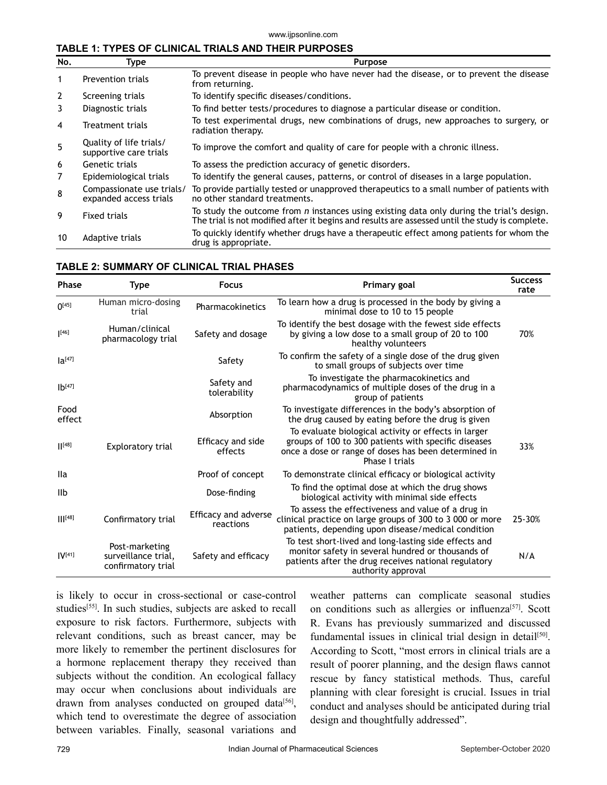#### www.ijpsonline.com

#### **TABLE 1: TYPES OF CLINICAL TRIALS AND THEIR PURPOSES**

| No.            | Type                                                | <b>Purpose</b><br>To prevent disease in people who have never had the disease, or to prevent the disease<br>from returning.                                                                         |  |  |
|----------------|-----------------------------------------------------|-----------------------------------------------------------------------------------------------------------------------------------------------------------------------------------------------------|--|--|
| -1             | <b>Prevention trials</b>                            |                                                                                                                                                                                                     |  |  |
| 2              | Screening trials                                    | To identify specific diseases/conditions.                                                                                                                                                           |  |  |
| 3              | Diagnostic trials                                   | To find better tests/procedures to diagnose a particular disease or condition.                                                                                                                      |  |  |
| 4              | Treatment trials                                    | To test experimental drugs, new combinations of drugs, new approaches to surgery, or<br>radiation therapy.                                                                                          |  |  |
| 5              | Quality of life trials/<br>supportive care trials   | To improve the comfort and quality of care for people with a chronic illness.                                                                                                                       |  |  |
| 6              | Genetic trials                                      | To assess the prediction accuracy of genetic disorders.                                                                                                                                             |  |  |
| $\overline{7}$ | Epidemiological trials                              | To identify the general causes, patterns, or control of diseases in a large population.                                                                                                             |  |  |
| 8              | Compassionate use trials/<br>expanded access trials | To provide partially tested or unapproved therapeutics to a small number of patients with<br>no other standard treatments.                                                                          |  |  |
| 9              | <b>Fixed trials</b>                                 | To study the outcome from <i>n</i> instances using existing data only during the trial's design.<br>The trial is not modified after it begins and results are assessed until the study is complete. |  |  |
| 10             | Adaptive trials                                     | To quickly identify whether drugs have a therapeutic effect among patients for whom the<br>drug is appropriate.                                                                                     |  |  |

#### **TABLE 2: SUMMARY OF CLINICAL TRIAL PHASES**

| <b>Phase</b>    | Type                                                        | <b>Focus</b>                      | Primary goal                                                                                                                                                                             | <b>Success</b><br>rate |
|-----------------|-------------------------------------------------------------|-----------------------------------|------------------------------------------------------------------------------------------------------------------------------------------------------------------------------------------|------------------------|
| $\Omega^{[45]}$ | Human micro-dosing<br>trial                                 | Pharmacokinetics                  | To learn how a drug is processed in the body by giving a<br>minimal dose to 10 to 15 people                                                                                              |                        |
| [46]            | Human/clinical<br>pharmacology trial                        | Safety and dosage                 | To identify the best dosage with the fewest side effects<br>by giving a low dose to a small group of 20 to 100<br>healthy volunteers                                                     | 70%                    |
| $Ia^{[47]}$     |                                                             | Safety                            | To confirm the safety of a single dose of the drug given<br>to small groups of subjects over time                                                                                        |                        |
| $1b^{[47]}$     |                                                             | Safety and<br>tolerability        | To investigate the pharmacokinetics and<br>pharmacodynamics of multiple doses of the drug in a<br>group of patients                                                                      |                        |
| Food<br>effect  |                                                             | Absorption                        | To investigate differences in the body's absorption of<br>the drug caused by eating before the drug is given                                                                             |                        |
| [48]            | <b>Exploratory trial</b>                                    | Efficacy and side<br>effects      | To evaluate biological activity or effects in larger<br>groups of 100 to 300 patients with specific diseases<br>once a dose or range of doses has been determined in<br>Phase I trials   | 33%                    |
| lla             |                                                             | Proof of concept                  | To demonstrate clinical efficacy or biological activity                                                                                                                                  |                        |
| IIb             |                                                             | Dose-finding                      | To find the optimal dose at which the drug shows<br>biological activity with minimal side effects                                                                                        |                        |
| $    ^{[48]}$   | Confirmatory trial                                          | Efficacy and adverse<br>reactions | To assess the effectiveness and value of a drug in<br>clinical practice on large groups of 300 to 3 000 or more<br>patients, depending upon disease/medical condition                    | 25-30%                 |
| $IV^{[41]}$     | Post-marketing<br>surveillance trial,<br>confirmatory trial | Safety and efficacy               | To test short-lived and long-lasting side effects and<br>monitor safety in several hundred or thousands of<br>patients after the drug receives national regulatory<br>authority approval | N/A                    |

is likely to occur in cross-sectional or case-control studies<sup>[55]</sup>. In such studies, subjects are asked to recall exposure to risk factors. Furthermore, subjects with relevant conditions, such as breast cancer, may be more likely to remember the pertinent disclosures for a hormone replacement therapy they received than subjects without the condition. An ecological fallacy may occur when conclusions about individuals are drawn from analyses conducted on grouped data<sup>[56]</sup>, which tend to overestimate the degree of association between variables. Finally, seasonal variations and weather patterns can complicate seasonal studies on conditions such as allergies or influenza<sup>[57]</sup>. Scott R. Evans has previously summarized and discussed fundamental issues in clinical trial design in detail<sup>[50]</sup>. According to Scott, "most errors in clinical trials are a result of poorer planning, and the design flaws cannot rescue by fancy statistical methods. Thus, careful planning with clear foresight is crucial. Issues in trial conduct and analyses should be anticipated during trial design and thoughtfully addressed".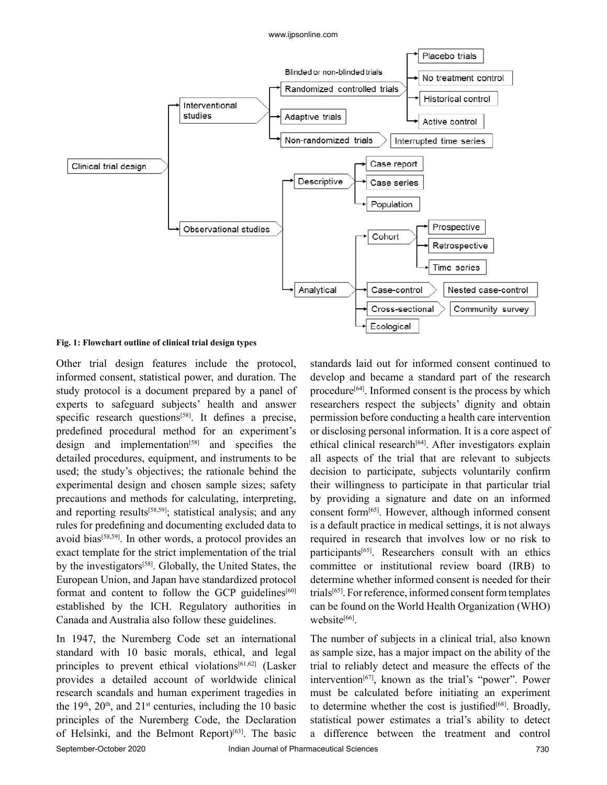

#### **Fig. 1: Flowchart outline of clinical trial design types**

Other trial design features include the protocol, informed consent, statistical power, and duration. The study protocol is a document prepared by a panel of experts to safeguard subjects' health and answer specific research questions<sup>[58]</sup>. It defines a precise, predefined procedural method for an experiment's design and implementation $[58]$  and specifies the detailed procedures, equipment, and instruments to be used; the study's objectives; the rationale behind the experimental design and chosen sample sizes; safety precautions and methods for calculating, interpreting, and reporting results<sup>[58,59]</sup>; statistical analysis; and any rules for predefining and documenting excluded data to avoid bias<sup>[58,59]</sup>. In other words, a protocol provides an exact template for the strict implementation of the trial by the investigators<sup>[58]</sup>. Globally, the United States, the European Union, and Japan have standardized protocol format and content to follow the GCP guidelines $[60]$ established by the ICH. Regulatory authorities in Canada and Australia also follow these guidelines.

In 1947, the Nuremberg Code set an international standard with 10 basic morals, ethical, and legal principles to prevent ethical violations<sup>[61,62]</sup> (Lasker provides a detailed account of worldwide clinical research scandals and human experiment tragedies in the  $19<sup>th</sup>$ ,  $20<sup>th</sup>$ , and  $21<sup>st</sup>$  centuries, including the 10 basic principles of the Nuremberg Code, the Declaration of Helsinki, and the Belmont Report)[63]. The basic standards laid out for informed consent continued to develop and became a standard part of the research procedure<sup>[64]</sup>. Informed consent is the process by which researchers respect the subjects' dignity and obtain permission before conducting a health care intervention or disclosing personal information. It is a core aspect of ethical clinical research<sup>[64]</sup>. After investigators explain all aspects of the trial that are relevant to subjects decision to participate, subjects voluntarily confirm their willingness to participate in that particular trial by providing a signature and date on an informed consent form[65]. However, although informed consent is a default practice in medical settings, it is not always required in research that involves low or no risk to participants[65]. Researchers consult with an ethics committee or institutional review board (IRB) to determine whether informed consent is needed for their trials[65]. For reference, informed consent form templates can be found on the World Health Organization (WHO) website<sup>[66]</sup>.

The number of subjects in a clinical trial, also known as sample size, has a major impact on the ability of the trial to reliably detect and measure the effects of the intervention<sup>[67]</sup>, known as the trial's "power". Power must be calculated before initiating an experiment to determine whether the cost is justified $[68]$ . Broadly, statistical power estimates a trial's ability to detect a difference between the treatment and control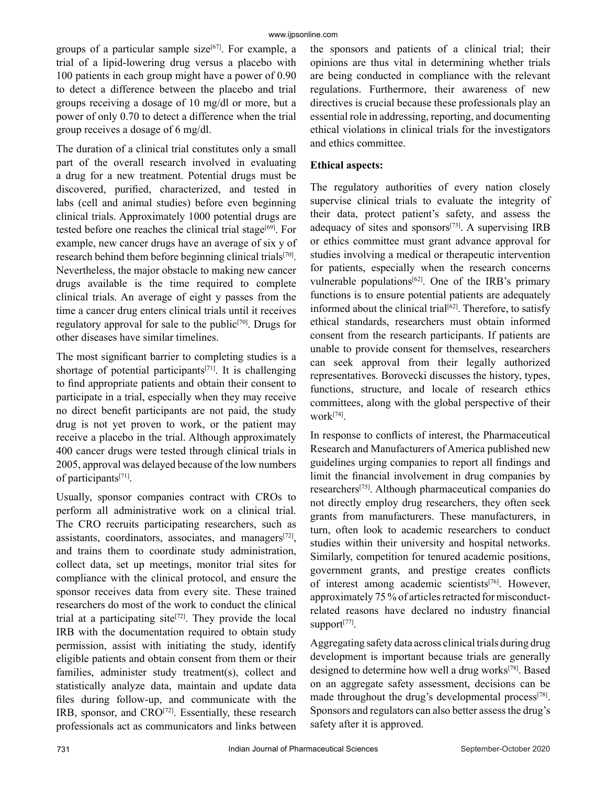groups of a particular sample size $[67]$ . For example, a trial of a lipid-lowering drug versus a placebo with 100 patients in each group might have a power of 0.90 to detect a difference between the placebo and trial groups receiving a dosage of 10 mg/dl or more, but a power of only 0.70 to detect a difference when the trial group receives a dosage of 6 mg/dl.

The duration of a clinical trial constitutes only a small part of the overall research involved in evaluating a drug for a new treatment. Potential drugs must be discovered, purified, characterized, and tested in labs (cell and animal studies) before even beginning clinical trials. Approximately 1000 potential drugs are tested before one reaches the clinical trial stage<sup>[69]</sup>. For example, new cancer drugs have an average of six y of research behind them before beginning clinical trials[70]. Nevertheless, the major obstacle to making new cancer drugs available is the time required to complete clinical trials. An average of eight y passes from the time a cancer drug enters clinical trials until it receives regulatory approval for sale to the public<sup>[70]</sup>. Drugs for other diseases have similar timelines.

The most significant barrier to completing studies is a shortage of potential participants $[71]$ . It is challenging to find appropriate patients and obtain their consent to participate in a trial, especially when they may receive no direct benefit participants are not paid, the study drug is not yet proven to work, or the patient may receive a placebo in the trial. Although approximately 400 cancer drugs were tested through clinical trials in 2005, approval was delayed because of the low numbers of participants[71].

Usually, sponsor companies contract with CROs to perform all administrative work on a clinical trial. The CRO recruits participating researchers, such as assistants, coordinators, associates, and managers $[72]$ , and trains them to coordinate study administration, collect data, set up meetings, monitor trial sites for compliance with the clinical protocol, and ensure the sponsor receives data from every site. These trained researchers do most of the work to conduct the clinical trial at a participating site<sup>[72]</sup>. They provide the local IRB with the documentation required to obtain study permission, assist with initiating the study, identify eligible patients and obtain consent from them or their families, administer study treatment(s), collect and statistically analyze data, maintain and update data files during follow-up, and communicate with the IRB, sponsor, and CRO<sup>[72]</sup>. Essentially, these research professionals act as communicators and links between the sponsors and patients of a clinical trial; their opinions are thus vital in determining whether trials are being conducted in compliance with the relevant regulations. Furthermore, their awareness of new directives is crucial because these professionals play an essential role in addressing, reporting, and documenting ethical violations in clinical trials for the investigators and ethics committee.

## **Ethical aspects:**

The regulatory authorities of every nation closely supervise clinical trials to evaluate the integrity of their data, protect patient's safety, and assess the adequacy of sites and sponsors $[73]$ . A supervising IRB or ethics committee must grant advance approval for studies involving a medical or therapeutic intervention for patients, especially when the research concerns vulnerable populations<sup>[62]</sup>. One of the IRB's primary functions is to ensure potential patients are adequately informed about the clinical trial<sup>[62]</sup>. Therefore, to satisfy ethical standards, researchers must obtain informed consent from the research participants. If patients are unable to provide consent for themselves, researchers can seek approval from their legally authorized representatives. Borovecki discusses the history, types, functions, structure, and locale of research ethics committees, along with the global perspective of their work[74].

In response to conflicts of interest, the Pharmaceutical Research and Manufacturers of America published new guidelines urging companies to report all findings and limit the financial involvement in drug companies by researchers[75]. Although pharmaceutical companies do not directly employ drug researchers, they often seek grants from manufacturers. These manufacturers, in turn, often look to academic researchers to conduct studies within their university and hospital networks. Similarly, competition for tenured academic positions, government grants, and prestige creates conflicts of interest among academic scientists<sup>[76]</sup>. However, approximately 75 % of articles retracted for misconductrelated reasons have declared no industry financial support<sup>[77]</sup>.

Aggregating safety data across clinical trials during drug development is important because trials are generally designed to determine how well a drug works<sup>[78]</sup>. Based on an aggregate safety assessment, decisions can be made throughout the drug's developmental process<sup>[78]</sup>. Sponsors and regulators can also better assess the drug's safety after it is approved.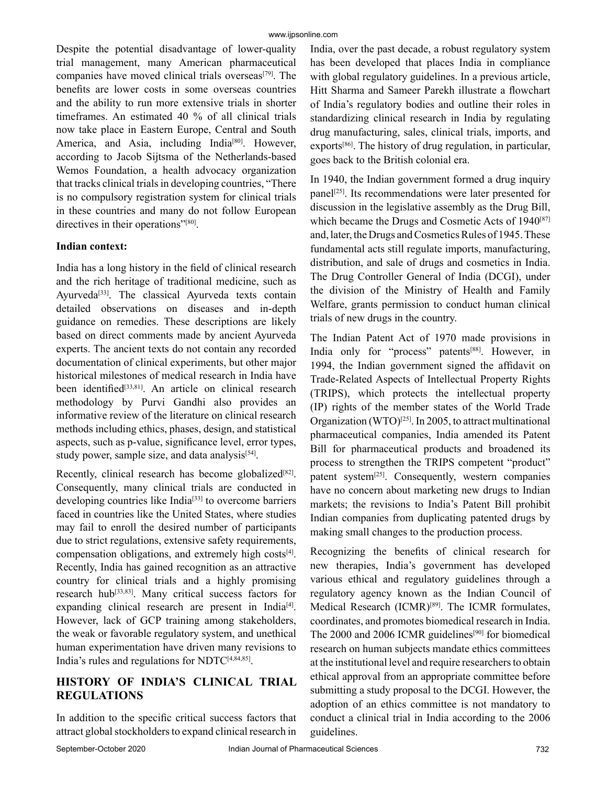Despite the potential disadvantage of lower-quality trial management, many American pharmaceutical companies have moved clinical trials overseas<sup>[79]</sup>. The benefits are lower costs in some overseas countries and the ability to run more extensive trials in shorter timeframes. An estimated 40 % of all clinical trials now take place in Eastern Europe, Central and South America, and Asia, including India<sup>[80]</sup>. However, according to Jacob Sijtsma of the Netherlands-based Wemos Foundation, a health advocacy organization that tracks clinical trials in developing countries, "There is no compulsory registration system for clinical trials in these countries and many do not follow European directives in their operations"<sup>[80]</sup>.

### **Indian context:**

India has a long history in the field of clinical research and the rich heritage of traditional medicine, such as Ayurveda<sup>[33]</sup>. The classical Ayurveda texts contain detailed observations on diseases and in-depth guidance on remedies. These descriptions are likely based on direct comments made by ancient Ayurveda experts. The ancient texts do not contain any recorded documentation of clinical experiments, but other major historical milestones of medical research in India have been identified<sup>[33,81]</sup>. An article on clinical research methodology by Purvi Gandhi also provides an informative review of the literature on clinical research methods including ethics, phases, design, and statistical aspects, such as p-value, significance level, error types, study power, sample size, and data analysis<sup>[54]</sup>.

Recently, clinical research has become globalized<sup>[82]</sup>. Consequently, many clinical trials are conducted in developing countries like India<sup>[33]</sup> to overcome barriers faced in countries like the United States, where studies may fail to enroll the desired number of participants due to strict regulations, extensive safety requirements, compensation obligations, and extremely high costs<sup>[4]</sup>. Recently, India has gained recognition as an attractive country for clinical trials and a highly promising research hub<sup>[33,83]</sup>. Many critical success factors for expanding clinical research are present in India<sup>[4]</sup>. However, lack of GCP training among stakeholders, the weak or favorable regulatory system, and unethical human experimentation have driven many revisions to India's rules and regulations for  $NDTC^{[4,84,85]}$ .

## **HISTORY OF INDIA'S CLINICAL TRIAL REGULATIONS**

In addition to the specific critical success factors that attract global stockholders to expand clinical research in India, over the past decade, a robust regulatory system has been developed that places India in compliance with global regulatory guidelines. In a previous article, Hitt Sharma and Sameer Parekh illustrate a flowchart of India's regulatory bodies and outline their roles in standardizing clinical research in India by regulating drug manufacturing, sales, clinical trials, imports, and  $\alpha$ exports<sup>[86]</sup>. The history of drug regulation, in particular, goes back to the British colonial era.

In 1940, the Indian government formed a drug inquiry panel<sup>[25]</sup>. Its recommendations were later presented for discussion in the legislative assembly as the Drug Bill, which became the Drugs and Cosmetic Acts of 1940<sup>[87]</sup> and, later, the Drugs and Cosmetics Rules of 1945. These fundamental acts still regulate imports, manufacturing, distribution, and sale of drugs and cosmetics in India. The Drug Controller General of India (DCGI), under the division of the Ministry of Health and Family Welfare, grants permission to conduct human clinical trials of new drugs in the country.

The Indian Patent Act of 1970 made provisions in India only for "process" patents<sup>[88]</sup>. However, in 1994, the Indian government signed the affidavit on Trade-Related Aspects of Intellectual Property Rights (TRIPS), which protects the intellectual property (IP) rights of the member states of the World Trade Organization (WTO)[25]. In 2005, to attract multinational pharmaceutical companies, India amended its Patent Bill for pharmaceutical products and broadened its process to strengthen the TRIPS competent "product" patent system<sup>[25]</sup>. Consequently, western companies have no concern about marketing new drugs to Indian markets; the revisions to India's Patent Bill prohibit Indian companies from duplicating patented drugs by making small changes to the production process.

Recognizing the benefits of clinical research for new therapies, India's government has developed various ethical and regulatory guidelines through a regulatory agency known as the Indian Council of Medical Research (ICMR)<sup>[89]</sup>. The ICMR formulates, coordinates, and promotes biomedical research in India. The 2000 and 2006 ICMR guidelines<sup>[90]</sup> for biomedical research on human subjects mandate ethics committees at the institutional level and require researchers to obtain ethical approval from an appropriate committee before submitting a study proposal to the DCGI. However, the adoption of an ethics committee is not mandatory to conduct a clinical trial in India according to the 2006 guidelines.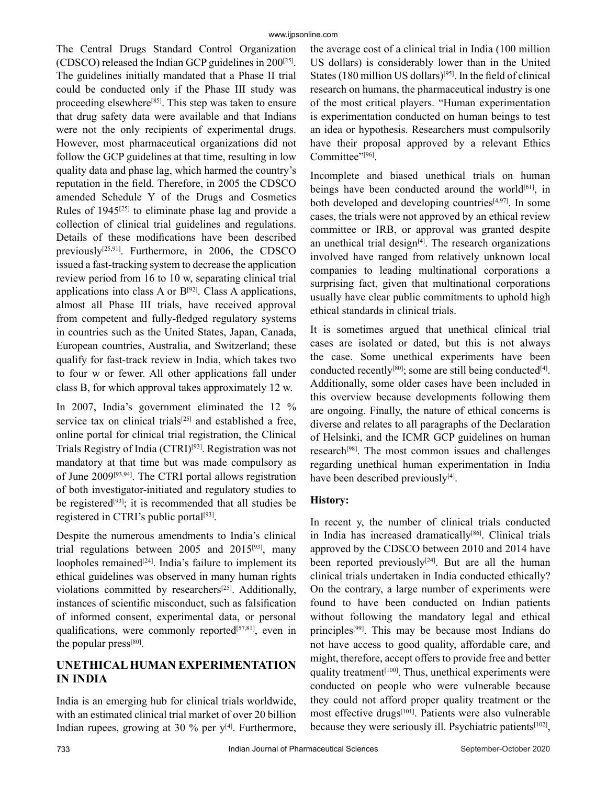The Central Drugs Standard Control Organization (CDSCO) released the Indian GCP guidelines in  $200^{[25]}$ . The guidelines initially mandated that a Phase II trial could be conducted only if the Phase III study was proceeding elsewhere<sup>[85]</sup>. This step was taken to ensure that drug safety data were available and that Indians were not the only recipients of experimental drugs. However, most pharmaceutical organizations did not follow the GCP guidelines at that time, resulting in low quality data and phase lag, which harmed the country's reputation in the field. Therefore, in 2005 the CDSCO amended Schedule Y of the Drugs and Cosmetics Rules of 1945[25] to eliminate phase lag and provide a collection of clinical trial guidelines and regulations. Details of these modifications have been described previously<sup>[25,91]</sup>. Furthermore, in 2006, the CDSCO issued a fast-tracking system to decrease the application review period from 16 to 10 w, separating clinical trial applications into class A or  $B^{[92]}$ . Class A applications, almost all Phase III trials, have received approval from competent and fully-fledged regulatory systems in countries such as the United States, Japan, Canada, European countries, Australia, and Switzerland; these qualify for fast-track review in India, which takes two to four w or fewer. All other applications fall under class B, for which approval takes approximately 12 w.

In 2007, India's government eliminated the 12 % service tax on clinical trials<sup>[25]</sup> and established a free, online portal for clinical trial registration, the Clinical Trials Registry of India (CTRI)[93]. Registration was not mandatory at that time but was made compulsory as of June 2009[93,94]. The CTRI portal allows registration of both investigator-initiated and regulatory studies to be registered<sup>[93]</sup>; it is recommended that all studies be registered in CTRI's public portal<sup>[93]</sup>.

Despite the numerous amendments to India's clinical trial regulations between 2005 and  $2015^{[93]}$ , many loopholes remained $[24]$ . India's failure to implement its ethical guidelines was observed in many human rights violations committed by researchers<sup>[25]</sup>. Additionally, instances of scientific misconduct, such as falsification of informed consent, experimental data, or personal qualifications, were commonly reported<sup>[57,81]</sup>, even in the popular press<sup>[80]</sup>.

## **UNETHICAL HUMAN EXPERIMENTATION IN INDIA**

India is an emerging hub for clinical trials worldwide, with an estimated clinical trial market of over 20 billion Indian rupees, growing at 30  $%$  per y<sup>[4]</sup>. Furthermore, the average cost of a clinical trial in India (100 million US dollars) is considerably lower than in the United States (180 million US dollars)<sup>[95]</sup>. In the field of clinical research on humans, the pharmaceutical industry is one of the most critical players. "Human experimentation is experimentation conducted on human beings to test an idea or hypothesis. Researchers must compulsorily have their proposal approved by a relevant Ethics Committee"<sup>[96]</sup>.

Incomplete and biased unethical trials on human beings have been conducted around the world $[61]$ , in both developed and developing countries $[4,97]$ . In some cases, the trials were not approved by an ethical review committee or IRB, or approval was granted despite an unethical trial design $[4]$ . The research organizations involved have ranged from relatively unknown local companies to leading multinational corporations a surprising fact, given that multinational corporations usually have clear public commitments to uphold high ethical standards in clinical trials.

It is sometimes argued that unethical clinical trial cases are isolated or dated, but this is not always the case. Some unethical experiments have been conducted recently<sup>[80]</sup>; some are still being conducted<sup>[4]</sup>. Additionally, some older cases have been included in this overview because developments following them are ongoing. Finally, the nature of ethical concerns is diverse and relates to all paragraphs of the Declaration of Helsinki, and the ICMR GCP guidelines on human research[98]. The most common issues and challenges regarding unethical human experimentation in India have been described previously $[4]$ .

## **History:**

In recent y, the number of clinical trials conducted in India has increased dramatically<sup>[86]</sup>. Clinical trials approved by the CDSCO between 2010 and 2014 have been reported previously<sup>[24]</sup>. But are all the human clinical trials undertaken in India conducted ethically? On the contrary, a large number of experiments were found to have been conducted on Indian patients without following the mandatory legal and ethical principles[99]. This may be because most Indians do not have access to good quality, affordable care, and might, therefore, accept offers to provide free and better quality treatment<sup> $[100]$ </sup>. Thus, unethical experiments were conducted on people who were vulnerable because they could not afford proper quality treatment or the most effective drugs<sup>[101]</sup>. Patients were also vulnerable because they were seriously ill. Psychiatric patients<sup>[102]</sup>,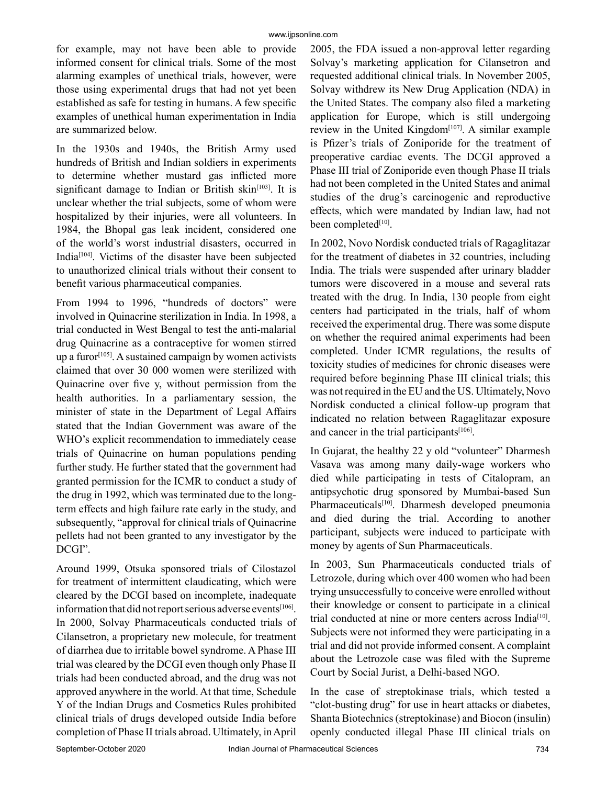for example, may not have been able to provide informed consent for clinical trials. Some of the most alarming examples of unethical trials, however, were those using experimental drugs that had not yet been established as safe for testing in humans. A few specific examples of unethical human experimentation in India are summarized below.

In the 1930s and 1940s, the British Army used hundreds of British and Indian soldiers in experiments to determine whether mustard gas inflicted more significant damage to Indian or British skin $[103]$ . It is unclear whether the trial subjects, some of whom were hospitalized by their injuries, were all volunteers. In 1984, the Bhopal gas leak incident, considered one of the world's worst industrial disasters, occurred in India[104]. Victims of the disaster have been subjected to unauthorized clinical trials without their consent to benefit various pharmaceutical companies.

From 1994 to 1996, "hundreds of doctors" were involved in Quinacrine sterilization in India. In 1998, a trial conducted in West Bengal to test the anti-malarial drug Quinacrine as a contraceptive for women stirred up a furor<sup> $[105]$ </sup>. A sustained campaign by women activists claimed that over 30 000 women were sterilized with Quinacrine over five y, without permission from the health authorities. In a parliamentary session, the minister of state in the Department of Legal Affairs stated that the Indian Government was aware of the WHO's explicit recommendation to immediately cease trials of Quinacrine on human populations pending further study. He further stated that the government had granted permission for the ICMR to conduct a study of the drug in 1992, which was terminated due to the longterm effects and high failure rate early in the study, and subsequently, "approval for clinical trials of Quinacrine pellets had not been granted to any investigator by the DCGI".

Around 1999, Otsuka sponsored trials of Cilostazol for treatment of intermittent claudicating, which were cleared by the DCGI based on incomplete, inadequate information that did not report serious adverse events<sup>[106]</sup>. In 2000, Solvay Pharmaceuticals conducted trials of Cilansetron, a proprietary new molecule, for treatment of diarrhea due to irritable bowel syndrome. A Phase III trial was cleared by the DCGI even though only Phase II trials had been conducted abroad, and the drug was not approved anywhere in the world. At that time, Schedule Y of the Indian Drugs and Cosmetics Rules prohibited clinical trials of drugs developed outside India before completion of Phase II trials abroad. Ultimately, in April 2005, the FDA issued a non-approval letter regarding Solvay's marketing application for Cilansetron and requested additional clinical trials. In November 2005, Solvay withdrew its New Drug Application (NDA) in the United States. The company also filed a marketing application for Europe, which is still undergoing review in the United Kingdom<sup> $[107]$ </sup>. A similar example is Pfizer's trials of Zoniporide for the treatment of preoperative cardiac events. The DCGI approved a Phase III trial of Zoniporide even though Phase II trials had not been completed in the United States and animal studies of the drug's carcinogenic and reproductive effects, which were mandated by Indian law, had not been completed<sup>[10]</sup>.

In 2002, Novo Nordisk conducted trials of Ragaglitazar for the treatment of diabetes in 32 countries, including India. The trials were suspended after urinary bladder tumors were discovered in a mouse and several rats treated with the drug. In India, 130 people from eight centers had participated in the trials, half of whom received the experimental drug. There was some dispute on whether the required animal experiments had been completed. Under ICMR regulations, the results of toxicity studies of medicines for chronic diseases were required before beginning Phase III clinical trials; this was not required in the EU and the US. Ultimately, Novo Nordisk conducted a clinical follow-up program that indicated no relation between Ragaglitazar exposure and cancer in the trial participants $[106]$ .

In Gujarat, the healthy 22 y old "volunteer" Dharmesh Vasava was among many daily-wage workers who died while participating in tests of Citalopram, an antipsychotic drug sponsored by Mumbai-based Sun Pharmaceuticals<sup>[10]</sup>. Dharmesh developed pneumonia and died during the trial. According to another participant, subjects were induced to participate with money by agents of Sun Pharmaceuticals.

In 2003, Sun Pharmaceuticals conducted trials of Letrozole, during which over 400 women who had been trying unsuccessfully to conceive were enrolled without their knowledge or consent to participate in a clinical trial conducted at nine or more centers across India[10]. Subjects were not informed they were participating in a trial and did not provide informed consent. A complaint about the Letrozole case was filed with the Supreme Court by Social Jurist, a Delhi-based NGO.

In the case of streptokinase trials, which tested a "clot-busting drug" for use in heart attacks or diabetes, Shanta Biotechnics (streptokinase) and Biocon (insulin) openly conducted illegal Phase III clinical trials on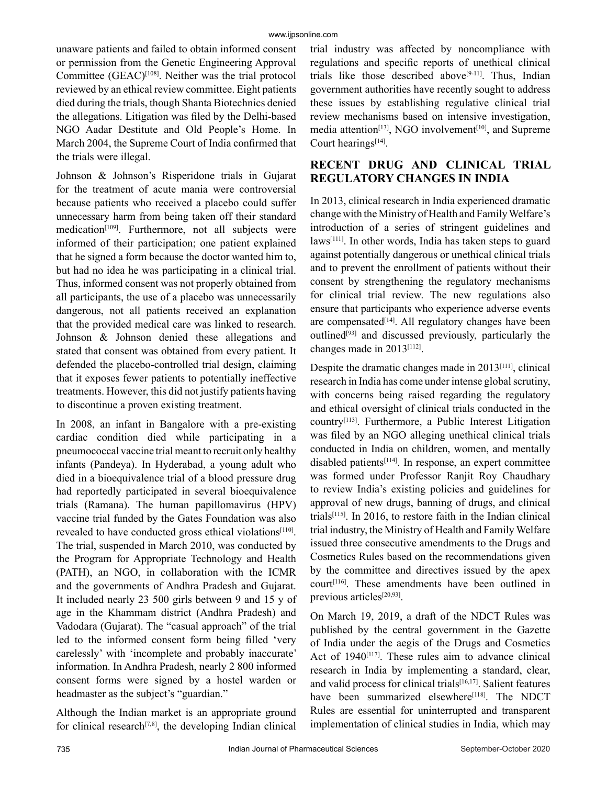unaware patients and failed to obtain informed consent or permission from the Genetic Engineering Approval Committee (GEAC)<sup>[108]</sup>. Neither was the trial protocol reviewed by an ethical review committee. Eight patients died during the trials, though Shanta Biotechnics denied the allegations. Litigation was filed by the Delhi-based NGO Aadar Destitute and Old People's Home. In March 2004, the Supreme Court of India confirmed that the trials were illegal.

Johnson & Johnson's Risperidone trials in Gujarat for the treatment of acute mania were controversial because patients who received a placebo could suffer unnecessary harm from being taken off their standard medication<sup>[109]</sup>. Furthermore, not all subjects were informed of their participation; one patient explained that he signed a form because the doctor wanted him to, but had no idea he was participating in a clinical trial. Thus, informed consent was not properly obtained from all participants, the use of a placebo was unnecessarily dangerous, not all patients received an explanation that the provided medical care was linked to research. Johnson & Johnson denied these allegations and stated that consent was obtained from every patient. It defended the placebo-controlled trial design, claiming that it exposes fewer patients to potentially ineffective treatments. However, this did not justify patients having to discontinue a proven existing treatment.

In 2008, an infant in Bangalore with a pre-existing cardiac condition died while participating in a pneumococcal vaccine trial meant to recruit only healthy infants (Pandeya). In Hyderabad, a young adult who died in a bioequivalence trial of a blood pressure drug had reportedly participated in several bioequivalence trials (Ramana). The human papillomavirus (HPV) vaccine trial funded by the Gates Foundation was also revealed to have conducted gross ethical violations<sup>[110]</sup>. The trial, suspended in March 2010, was conducted by the Program for Appropriate Technology and Health (PATH), an NGO, in collaboration with the ICMR and the governments of Andhra Pradesh and Gujarat. It included nearly 23 500 girls between 9 and 15 y of age in the Khammam district (Andhra Pradesh) and Vadodara (Gujarat). The "casual approach" of the trial led to the informed consent form being filled 'very carelessly' with 'incomplete and probably inaccurate' information. In Andhra Pradesh, nearly 2 800 informed consent forms were signed by a hostel warden or headmaster as the subject's "guardian."

Although the Indian market is an appropriate ground for clinical research<sup>[7,8]</sup>, the developing Indian clinical trial industry was affected by noncompliance with regulations and specific reports of unethical clinical trials like those described above $[9-11]$ . Thus, Indian government authorities have recently sought to address these issues by establishing regulative clinical trial review mechanisms based on intensive investigation, media attention<sup>[13]</sup>, NGO involvement<sup>[10]</sup>, and Supreme Court hearings $[14]$ .

## **RECENT DRUG AND CLINICAL TRIAL REGULATORY CHANGES IN INDIA**

In 2013, clinical research in India experienced dramatic change with the Ministry of Health and Family Welfare's introduction of a series of stringent guidelines and  $laws^{[111]}$ . In other words, India has taken steps to guard against potentially dangerous or unethical clinical trials and to prevent the enrollment of patients without their consent by strengthening the regulatory mechanisms for clinical trial review. The new regulations also ensure that participants who experience adverse events are compensated<sup>[14]</sup>. All regulatory changes have been outlined[93] and discussed previously, particularly the changes made in 2013[112].

Despite the dramatic changes made in 2013[111], clinical research in India has come under intense global scrutiny, with concerns being raised regarding the regulatory and ethical oversight of clinical trials conducted in the country[113]. Furthermore, a Public Interest Litigation was filed by an NGO alleging unethical clinical trials conducted in India on children, women, and mentally disabled patients[114]. In response, an expert committee was formed under Professor Ranjit Roy Chaudhary to review India's existing policies and guidelines for approval of new drugs, banning of drugs, and clinical trials<sup> $[115]$ </sup>. In 2016, to restore faith in the Indian clinical trial industry, the Ministry of Health and Family Welfare issued three consecutive amendments to the Drugs and Cosmetics Rules based on the recommendations given by the committee and directives issued by the apex court[116]. These amendments have been outlined in previous articles<sup>[20,93]</sup>.

On March 19, 2019, a draft of the NDCT Rules was published by the central government in the Gazette of India under the aegis of the Drugs and Cosmetics Act of 1940<sup>[117]</sup>. These rules aim to advance clinical research in India by implementing a standard, clear, and valid process for clinical trials[16,17]. Salient features have been summarized elsewhere<sup>[118]</sup>. The NDCT Rules are essential for uninterrupted and transparent implementation of clinical studies in India, which may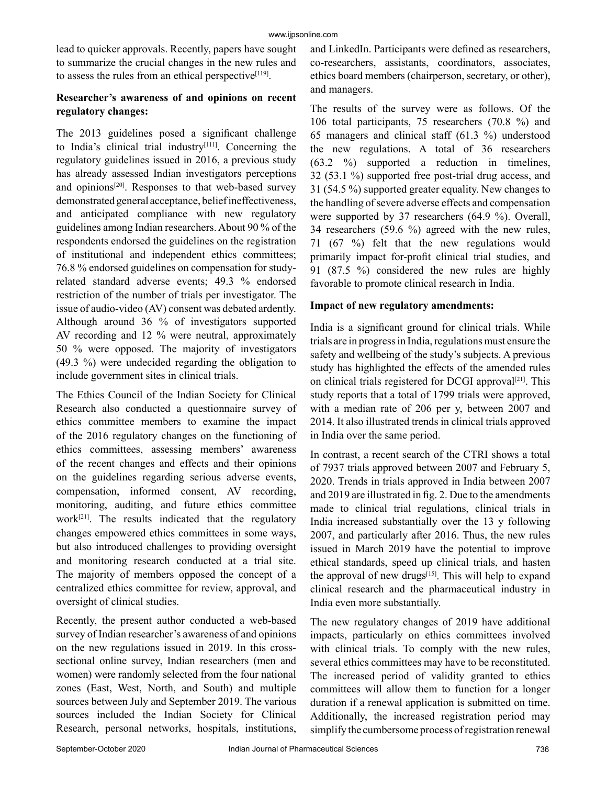lead to quicker approvals. Recently, papers have sought to summarize the crucial changes in the new rules and to assess the rules from an ethical perspective $[119]$ .

## **Researcher's awareness of and opinions on recent regulatory changes:**

The 2013 guidelines posed a significant challenge to India's clinical trial industry<sup>[111]</sup>. Concerning the regulatory guidelines issued in 2016, a previous study has already assessed Indian investigators perceptions and opinions $[20]$ . Responses to that web-based survey demonstrated general acceptance, belief ineffectiveness, and anticipated compliance with new regulatory guidelines among Indian researchers. About 90 % of the respondents endorsed the guidelines on the registration of institutional and independent ethics committees; 76.8 % endorsed guidelines on compensation for studyrelated standard adverse events; 49.3 % endorsed restriction of the number of trials per investigator. The issue of audio-video (AV) consent was debated ardently. Although around 36 % of investigators supported AV recording and 12 % were neutral, approximately 50 % were opposed. The majority of investigators (49.3 %) were undecided regarding the obligation to include government sites in clinical trials.

The Ethics Council of the Indian Society for Clinical Research also conducted a questionnaire survey of ethics committee members to examine the impact of the 2016 regulatory changes on the functioning of ethics committees, assessing members' awareness of the recent changes and effects and their opinions on the guidelines regarding serious adverse events, compensation, informed consent, AV recording, monitoring, auditing, and future ethics committee work $[21]$ . The results indicated that the regulatory changes empowered ethics committees in some ways, but also introduced challenges to providing oversight and monitoring research conducted at a trial site. The majority of members opposed the concept of a centralized ethics committee for review, approval, and oversight of clinical studies.

Recently, the present author conducted a web-based survey of Indian researcher's awareness of and opinions on the new regulations issued in 2019. In this crosssectional online survey, Indian researchers (men and women) were randomly selected from the four national zones (East, West, North, and South) and multiple sources between July and September 2019. The various sources included the Indian Society for Clinical Research, personal networks, hospitals, institutions,

and LinkedIn. Participants were defined as researchers, co-researchers, assistants, coordinators, associates, ethics board members (chairperson, secretary, or other), and managers.

The results of the survey were as follows. Of the 106 total participants, 75 researchers (70.8 %) and 65 managers and clinical staff (61.3 %) understood the new regulations. A total of 36 researchers (63.2 %) supported a reduction in timelines, 32 (53.1 %) supported free post-trial drug access, and 31 (54.5 %) supported greater equality. New changes to the handling of severe adverse effects and compensation were supported by 37 researchers (64.9 %). Overall, 34 researchers (59.6 %) agreed with the new rules, 71 (67 %) felt that the new regulations would primarily impact for-profit clinical trial studies, and 91 (87.5 %) considered the new rules are highly favorable to promote clinical research in India.

### **Impact of new regulatory amendments:**

India is a significant ground for clinical trials. While trials are in progress in India, regulations must ensure the safety and wellbeing of the study's subjects. A previous study has highlighted the effects of the amended rules on clinical trials registered for DCGI approval<sup>[21]</sup>. This study reports that a total of 1799 trials were approved, with a median rate of 206 per y, between 2007 and 2014. It also illustrated trends in clinical trials approved in India over the same period.

In contrast, a recent search of the CTRI shows a total of 7937 trials approved between 2007 and February 5, 2020. Trends in trials approved in India between 2007 and 2019 are illustrated in fig. 2. Due to the amendments made to clinical trial regulations, clinical trials in India increased substantially over the 13 y following 2007, and particularly after 2016. Thus, the new rules issued in March 2019 have the potential to improve ethical standards, speed up clinical trials, and hasten the approval of new drugs $[15]$ . This will help to expand clinical research and the pharmaceutical industry in India even more substantially.

The new regulatory changes of 2019 have additional impacts, particularly on ethics committees involved with clinical trials. To comply with the new rules, several ethics committees may have to be reconstituted. The increased period of validity granted to ethics committees will allow them to function for a longer duration if a renewal application is submitted on time. Additionally, the increased registration period may simplify the cumbersome process of registration renewal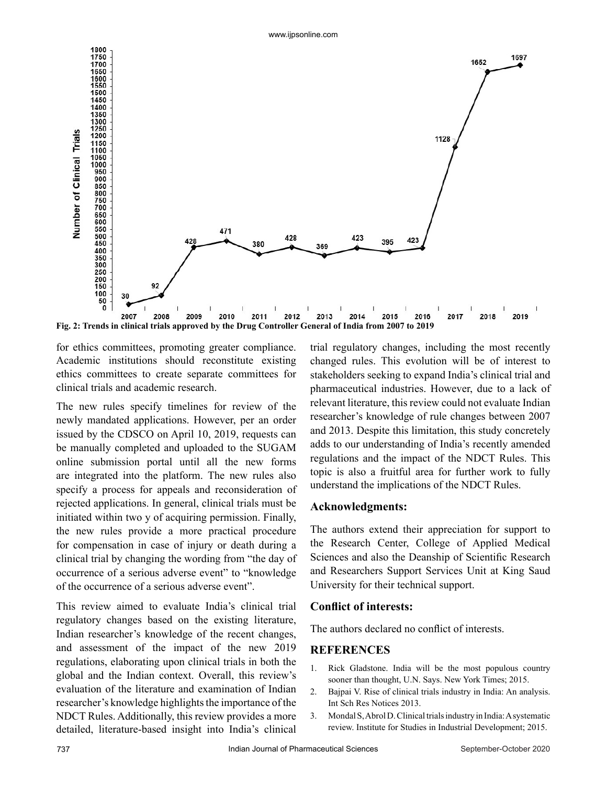

**Fig. 2: Trends in clinical trials approved by the Drug Controller General of India from 2007 to 2019**

for ethics committees, promoting greater compliance. Academic institutions should reconstitute existing ethics committees to create separate committees for clinical trials and academic research.

The new rules specify timelines for review of the newly mandated applications. However, per an order issued by the CDSCO on April 10, 2019, requests can be manually completed and uploaded to the SUGAM online submission portal until all the new forms are integrated into the platform. The new rules also specify a process for appeals and reconsideration of rejected applications. In general, clinical trials must be initiated within two y of acquiring permission. Finally, the new rules provide a more practical procedure for compensation in case of injury or death during a clinical trial by changing the wording from "the day of occurrence of a serious adverse event" to "knowledge of the occurrence of a serious adverse event".

This review aimed to evaluate India's clinical trial regulatory changes based on the existing literature, Indian researcher's knowledge of the recent changes, and assessment of the impact of the new 2019 regulations, elaborating upon clinical trials in both the global and the Indian context. Overall, this review's evaluation of the literature and examination of Indian researcher's knowledge highlights the importance of the NDCT Rules. Additionally, this review provides a more detailed, literature-based insight into India's clinical

trial regulatory changes, including the most recently changed rules. This evolution will be of interest to stakeholders seeking to expand India's clinical trial and pharmaceutical industries. However, due to a lack of relevant literature, this review could not evaluate Indian researcher's knowledge of rule changes between 2007 and 2013. Despite this limitation, this study concretely adds to our understanding of India's recently amended regulations and the impact of the NDCT Rules. This topic is also a fruitful area for further work to fully understand the implications of the NDCT Rules.

#### **Acknowledgments:**

The authors extend their appreciation for support to the Research Center, College of Applied Medical Sciences and also the Deanship of Scientific Research and Researchers Support Services Unit at King Saud University for their technical support.

#### **Conflict of interests:**

The authors declared no conflict of interests.

#### **REFERENCES**

- 1. Rick Gladstone. India will be the most populous country sooner than thought, U.N. Says. New York Times; 2015.
- 2. Bajpai V. Rise of clinical trials industry in India: An analysis. Int Sch Res Notices 2013.
- 3. Mondal S, Abrol D. Clinical trials industry in India: A systematic review. Institute for Studies in Industrial Development; 2015.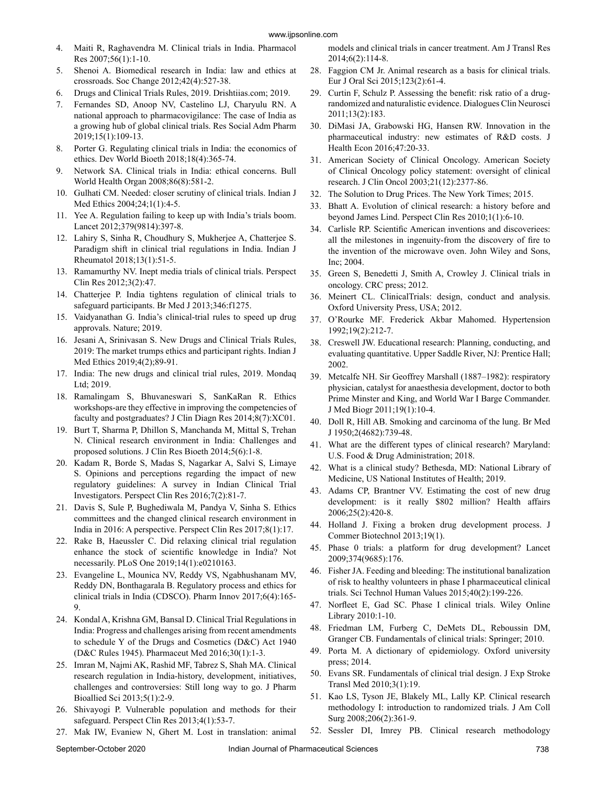- 4. Maiti R, Raghavendra M. Clinical trials in India. Pharmacol Res 2007;56(1):1-10.
- 5. Shenoi A. Biomedical research in India: law and ethics at crossroads. Soc Change 2012;42(4):527-38.
- 6. Drugs and Clinical Trials Rules, 2019. Drishtiias.com; 2019.
- 7. Fernandes SD, Anoop NV, Castelino LJ, Charyulu RN. A national approach to pharmacovigilance: The case of India as a growing hub of global clinical trials. Res Social Adm Pharm 2019;15(1):109-13.
- Porter G. Regulating clinical trials in India: the economics of ethics. Dev World Bioeth 2018;18(4):365-74.
- 9. Network SA. Clinical trials in India: ethical concerns. Bull World Health Organ 2008;86(8):581-2.
- 10. Gulhati CM. Needed: closer scrutiny of clinical trials. Indian J Med Ethics 2004;24;1(1):4-5.
- 11. Yee A. Regulation failing to keep up with India's trials boom. Lancet 2012;379(9814):397-8.
- 12. Lahiry S, Sinha R, Choudhury S, Mukherjee A, Chatterjee S. Paradigm shift in clinical trial regulations in India. Indian J Rheumatol 2018;13(1):51-5.
- 13. Ramamurthy NV. Inept media trials of clinical trials. Perspect Clin Res 2012;3(2):47.
- 14. Chatterjee P. India tightens regulation of clinical trials to safeguard participants. Br Med J 2013;346:f1275.
- 15. Vaidyanathan G. India's clinical-trial rules to speed up drug approvals. Nature; 2019.
- 16. Jesani A, Srinivasan S. New Drugs and Clinical Trials Rules, 2019: The market trumps ethics and participant rights. Indian J Med Ethics 2019;4(2);89-91.
- 17. India: The new drugs and clinical trial rules, 2019. Mondaq Ltd; 2019.
- 18. Ramalingam S, Bhuvaneswari S, SanKaRan R. Ethics workshops-are they effective in improving the competencies of faculty and postgraduates? J Clin Diagn Res 2014;8(7):XC01.
- 19. Burt T, Sharma P, Dhillon S, Manchanda M, Mittal S, Trehan N. Clinical research environment in India: Challenges and proposed solutions. J Clin Res Bioeth 2014;5(6):1-8.
- 20. Kadam R, Borde S, Madas S, Nagarkar A, Salvi S, Limaye S. Opinions and perceptions regarding the impact of new regulatory guidelines: A survey in Indian Clinical Trial Investigators. Perspect Clin Res 2016;7(2):81-7.
- 21. Davis S, Sule P, Bughediwala M, Pandya V, Sinha S. Ethics committees and the changed clinical research environment in India in 2016: A perspective. Perspect Clin Res 2017;8(1):17.
- 22. Rake B, Haeussler C. Did relaxing clinical trial regulation enhance the stock of scientific knowledge in India? Not necessarily. PLoS One 2019;14(1):e0210163.
- 23. Evangeline L, Mounica NV, Reddy VS, Ngabhushanam MV, Reddy DN, Bonthagarala B. Regulatory process and ethics for clinical trials in India (CDSCO). Pharm Innov 2017;6(4):165-9.
- 24. Kondal A, Krishna GM, Bansal D. Clinical Trial Regulations in India: Progress and challenges arising from recent amendments to schedule Y of the Drugs and Cosmetics (D&C) Act 1940 (D&C Rules 1945). Pharmaceut Med 2016;30(1):1-3.
- 25. Imran M, Najmi AK, Rashid MF, Tabrez S, Shah MA. Clinical research regulation in India-history, development, initiatives, challenges and controversies: Still long way to go. J Pharm Bioallied Sci 2013;5(1):2-9.
- 26. Shivayogi P. Vulnerable population and methods for their safeguard. Perspect Clin Res 2013;4(1):53-7.
- 27. Mak IW, Evaniew N, Ghert M. Lost in translation: animal

models and clinical trials in cancer treatment. Am J Transl Res 2014;6(2):114-8.

- 28. Faggion CM Jr. Animal research as a basis for clinical trials. Eur J Oral Sci 2015;123(2):61-4.
- 29. Curtin F, Schulz P. Assessing the benefit: risk ratio of a drugrandomized and naturalistic evidence. Dialogues Clin Neurosci 2011;13(2):183.
- 30. DiMasi JA, Grabowski HG, Hansen RW. Innovation in the pharmaceutical industry: new estimates of R&D costs. J Health Econ 2016;47:20-33.
- 31. American Society of Clinical Oncology. American Society of Clinical Oncology policy statement: oversight of clinical research. J Clin Oncol 2003;21(12):2377-86.
- 32. The Solution to Drug Prices. The New York Times; 2015.
- 33. Bhatt A. Evolution of clinical research: a history before and beyond James Lind. Perspect Clin Res 2010;1(1):6-10.
- 34. Carlisle RP. Scientific American inventions and discoveriees: all the milestones in ingenuity-from the discovery of fire to the invention of the microwave oven. John Wiley and Sons, Inc; 2004.
- 35. Green S, Benedetti J, Smith A, Crowley J. Clinical trials in oncology. CRC press; 2012.
- 36. Meinert CL. ClinicalTrials: design, conduct and analysis. Oxford University Press, USA; 2012.
- 37. O'Rourke MF. Frederick Akbar Mahomed. Hypertension 1992;19(2):212-7.
- 38. Creswell JW. Educational research: Planning, conducting, and evaluating quantitative. Upper Saddle River, NJ: Prentice Hall; 2002.
- 39. Metcalfe NH. Sir Geoffrey Marshall (1887–1982): respiratory physician, catalyst for anaesthesia development, doctor to both Prime Minster and King, and World War I Barge Commander. J Med Biogr 2011;19(1):10-4.
- 40. Doll R, Hill AB. Smoking and carcinoma of the lung. Br Med J 1950;2(4682):739-48.
- 41. What are the different types of clinical research? Maryland: U.S. Food & Drug Administration; 2018.
- 42. What is a clinical study? Bethesda, MD: National Library of Medicine, US National Institutes of Health; 2019.
- 43. Adams CP, Brantner VV. Estimating the cost of new drug development: is it really \$802 million? Health affairs 2006;25(2):420-8.
- 44. Holland J. Fixing a broken drug development process. J Commer Biotechnol 2013;19(1).
- 45. Phase 0 trials: a platform for drug development? Lancet 2009;374(9685):176.
- 46. Fisher JA. Feeding and bleeding: The institutional banalization of risk to healthy volunteers in phase I pharmaceutical clinical trials. Sci Technol Human Values 2015;40(2):199-226.
- 47. Norfleet E, Gad SC. Phase I clinical trials. Wiley Online Library 2010:1-10.
- 48. Friedman LM, Furberg C, DeMets DL, Reboussin DM, Granger CB. Fundamentals of clinical trials: Springer; 2010.
- 49. Porta M. A dictionary of epidemiology. Oxford university press; 2014.
- 50. Evans SR. Fundamentals of clinical trial design. J Exp Stroke Transl Med 2010;3(1):19.
- 51. Kao LS, Tyson JE, Blakely ML, Lally KP. Clinical research methodology I: introduction to randomized trials. J Am Coll Surg 2008;206(2):361-9.
- 52. Sessler DI, Imrey PB. Clinical research methodology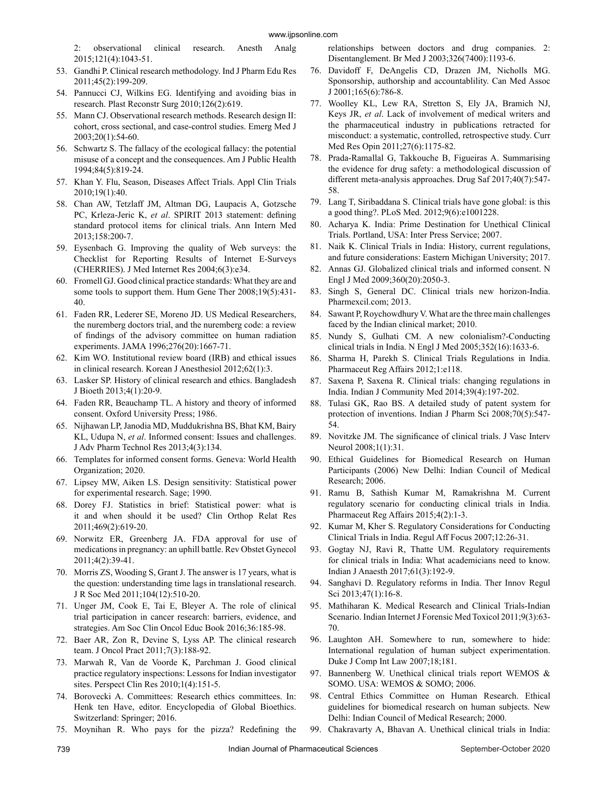2: observational clinical research. Anesth Analg 2015;121(4):1043-51.

- 53. Gandhi P. Clinical research methodology. Ind J Pharm Edu Res 2011;45(2):199-209.
- 54. Pannucci CJ, Wilkins EG. Identifying and avoiding bias in research. Plast Reconstr Surg 2010;126(2):619.
- 55. Mann CJ. Observational research methods. Research design II: cohort, cross sectional, and case-control studies. Emerg Med J 2003;20(1):54-60.
- 56. Schwartz S. The fallacy of the ecological fallacy: the potential misuse of a concept and the consequences. Am J Public Health 1994;84(5):819-24.
- 57. Khan Y. Flu, Season, Diseases Affect Trials. Appl Clin Trials 2010;19(1):40.
- 58. Chan AW, Tetzlaff JM, Altman DG, Laupacis A, Gotzsche PC, Krleza-Jeric K, *et al*. SPIRIT 2013 statement: defining standard protocol items for clinical trials. Ann Intern Med 2013;158:200-7.
- 59. Eysenbach G. Improving the quality of Web surveys: the Checklist for Reporting Results of Internet E-Surveys (CHERRIES). J Med Internet Res 2004;6(3):e34.
- 60. Fromell GJ. Good clinical practice standards: What they are and some tools to support them. Hum Gene Ther 2008;19(5):431-40.
- 61. Faden RR, Lederer SE, Moreno JD. US Medical Researchers, the nuremberg doctors trial, and the nuremberg code: a review of findings of the advisory committee on human radiation experiments. JAMA 1996;276(20):1667-71.
- 62. Kim WO. Institutional review board (IRB) and ethical issues in clinical research. Korean J Anesthesiol 2012;62(1):3.
- 63. Lasker SP. History of clinical research and ethics. Bangladesh J Bioeth 2013;4(1):20-9.
- 64. Faden RR, Beauchamp TL. A history and theory of informed consent. Oxford University Press; 1986.
- 65. Nijhawan LP, Janodia MD, Muddukrishna BS, Bhat KM, Bairy KL, Udupa N, *et al*. Informed consent: Issues and challenges. J Adv Pharm Technol Res 2013;4(3):134.
- 66. Templates for informed consent forms. Geneva: World Health Organization; 2020.
- 67. Lipsey MW, Aiken LS. Design sensitivity: Statistical power for experimental research. Sage; 1990.
- 68. Dorey FJ. Statistics in brief: Statistical power: what is it and when should it be used? Clin Orthop Relat Res 2011;469(2):619-20.
- 69. Norwitz ER, Greenberg JA. FDA approval for use of medications in pregnancy: an uphill battle. Rev Obstet Gynecol 2011;4(2):39-41.
- 70. Morris ZS, Wooding S, Grant J. The answer is 17 years, what is the question: understanding time lags in translational research. J R Soc Med 2011;104(12):510-20.
- 71. Unger JM, Cook E, Tai E, Bleyer A. The role of clinical trial participation in cancer research: barriers, evidence, and strategies. Am Soc Clin Oncol Educ Book 2016;36:185-98.
- 72. Baer AR, Zon R, Devine S, Lyss AP. The clinical research team. J Oncol Pract 2011;7(3):188-92.
- 73. Marwah R, Van de Voorde K, Parchman J. Good clinical practice regulatory inspections: Lessons for Indian investigator sites. Perspect Clin Res 2010;1(4):151-5.
- 74. Borovecki A. Committees: Research ethics committees. In: Henk ten Have, editor. Encyclopedia of Global Bioethics. Switzerland: Springer; 2016.
- 75. Moynihan R. Who pays for the pizza? Redefining the

relationships between doctors and drug companies. 2: Disentanglement. Br Med J 2003;326(7400):1193-6.

- 76. Davidoff F, DeAngelis CD, Drazen JM, Nicholls MG. Sponsorship, authorship and accountablility. Can Med Assoc J 2001;165(6):786-8.
- 77. Woolley KL, Lew RA, Stretton S, Ely JA, Bramich NJ, Keys JR, *et al*. Lack of involvement of medical writers and the pharmaceutical industry in publications retracted for misconduct: a systematic, controlled, retrospective study. Curr Med Res Opin 2011;27(6):1175-82.
- 78. Prada-Ramallal G, Takkouche B, Figueiras A. Summarising the evidence for drug safety: a methodological discussion of different meta-analysis approaches. Drug Saf 2017;40(7):547-58.
- 79. Lang T, Siribaddana S. Clinical trials have gone global: is this a good thing?. PLoS Med. 2012;9(6):e1001228.
- 80. Acharya K. India: Prime Destination for Unethical Clinical Trials. Portland, USA: Inter Press Service; 2007.
- 81. Naik K. Clinical Trials in India: History, current regulations, and future considerations: Eastern Michigan University; 2017.
- 82. Annas GJ. Globalized clinical trials and informed consent. N Engl J Med 2009;360(20):2050-3.
- 83. Singh S, General DC. Clinical trials new horizon-India. Pharmexcil.com; 2013.
- 84. Sawant P, Roychowdhury V. What are the three main challenges faced by the Indian clinical market; 2010.
- 85. Nundy S, Gulhati CM. A new colonialism?-Conducting clinical trials in India. N Engl J Med 2005;352(16):1633-6.
- 86. Sharma H, Parekh S. Clinical Trials Regulations in India. Pharmaceut Reg Affairs 2012;1:e118.
- 87. Saxena P, Saxena R. Clinical trials: changing regulations in India. Indian J Community Med 2014;39(4):197-202.
- 88. Tulasi GK, Rao BS. A detailed study of patent system for protection of inventions. Indian J Pharm Sci 2008;70(5):547-54.
- 89. Novitzke JM. The significance of clinical trials. J Vasc Interv Neurol 2008;1(1):31.
- 90. Ethical Guidelines for Biomedical Research on Human Participants (2006) New Delhi: Indian Council of Medical Research; 2006.
- 91. Ramu B, Sathish Kumar M, Ramakrishna M. Current regulatory scenario for conducting clinical trials in India. Pharmaceut Reg Affairs 2015;4(2):1-3.
- 92. Kumar M, Kher S. Regulatory Considerations for Conducting Clinical Trials in India. Regul Aff Focus 2007;12:26-31.
- 93. Gogtay NJ, Ravi R, Thatte UM. Regulatory requirements for clinical trials in India: What academicians need to know. Indian J Anaesth 2017;61(3):192-9.
- 94. Sanghavi D. Regulatory reforms in India. Ther Innov Regul Sci 2013;47(1):16-8.
- 95. Mathiharan K. Medical Research and Clinical Trials-Indian Scenario. Indian Internet J Forensic Med Toxicol 2011;9(3):63-70.
- 96. Laughton AH. Somewhere to run, somewhere to hide: International regulation of human subject experimentation. Duke J Comp Int Law 2007;18;181.
- 97. Bannenberg W. Unethical clinical trials report WEMOS & SOMO. USA: WEMOS & SOMO; 2006.
- 98. Central Ethics Committee on Human Research. Ethical guidelines for biomedical research on human subjects. New Delhi: Indian Council of Medical Research; 2000.
- 99. Chakravarty A, Bhavan A. Unethical clinical trials in India: